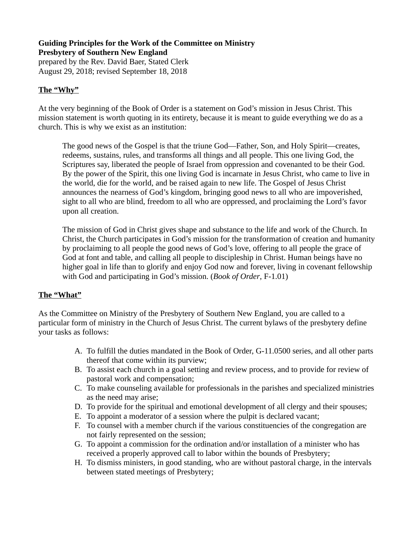#### **Guiding Principles for the Work of the Committee on Ministry Presbytery of Southern New England** prepared by the Rev. David Baer, Stated Clerk

August 29, 2018; revised September 18, 2018

### **The "Why"**

At the very beginning of the Book of Order is a statement on God's mission in Jesus Christ. This mission statement is worth quoting in its entirety, because it is meant to guide everything we do as a church. This is why we exist as an institution:

The good news of the Gospel is that the triune God—Father, Son, and Holy Spirit—creates, redeems, sustains, rules, and transforms all things and all people. This one living God, the Scriptures say, liberated the people of Israel from oppression and covenanted to be their God. By the power of the Spirit, this one living God is incarnate in Jesus Christ, who came to live in the world, die for the world, and be raised again to new life. The Gospel of Jesus Christ announces the nearness of God's kingdom, bringing good news to all who are impoverished, sight to all who are blind, freedom to all who are oppressed, and proclaiming the Lord's favor upon all creation.

The mission of God in Christ gives shape and substance to the life and work of the Church. In Christ, the Church participates in God's mission for the transformation of creation and humanity by proclaiming to all people the good news of God's love, offering to all people the grace of God at font and table, and calling all people to discipleship in Christ. Human beings have no higher goal in life than to glorify and enjoy God now and forever, living in covenant fellowship with God and participating in God's mission. (*Book of Order*, F-1.01)

#### **The "What"**

As the Committee on Ministry of the Presbytery of Southern New England, you are called to a particular form of ministry in the Church of Jesus Christ. The current bylaws of the presbytery define your tasks as follows:

- A. To fulfill the duties mandated in the Book of Order, G-11.0500 series, and all other parts thereof that come within its purview;
- B. To assist each church in a goal setting and review process, and to provide for review of pastoral work and compensation;
- C. To make counseling available for professionals in the parishes and specialized ministries as the need may arise;
- D. To provide for the spiritual and emotional development of all clergy and their spouses;
- E. To appoint a moderator of a session where the pulpit is declared vacant;
- F. To counsel with a member church if the various constituencies of the congregation are not fairly represented on the session;
- G. To appoint a commission for the ordination and/or installation of a minister who has received a properly approved call to labor within the bounds of Presbytery;
- H. To dismiss ministers, in good standing, who are without pastoral charge, in the intervals between stated meetings of Presbytery;